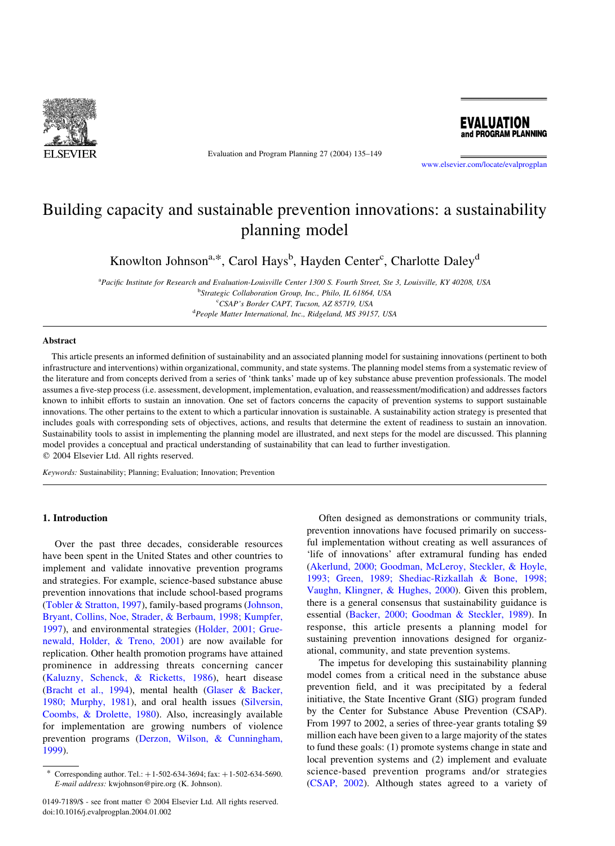

Evaluation and Program Planning 27 (2004) 135–149



[www.elsevier.com/locate/evalprogplan](http://www.elsevier.com/locate/evalprogplan)

# Building capacity and sustainable prevention innovations: a sustainability planning model

Knowlton Johnson<sup>a,\*</sup>, Carol Hays<sup>b</sup>, Hayden Center<sup>c</sup>, Charlotte Daley<sup>d</sup>

<sup>a</sup>Pacific Institute for Research and Evaluation-Louisville Center 1300 S. Fourth Street, Ste 3, Louisville, KY 40208, USA <sup>b</sup>Strategic Collaboration Group, Inc., Philo, IL 61864, USA c CSAP's Border CAPT, Tucson, AZ 85719, USA <sup>d</sup>People Matter International, Inc., Ridgeland, MS 39157, USA

## Abstract

This article presents an informed definition of sustainability and an associated planning model for sustaining innovations (pertinent to both infrastructure and interventions) within organizational, community, and state systems. The planning model stems from a systematic review of the literature and from concepts derived from a series of 'think tanks' made up of key substance abuse prevention professionals. The model assumes a five-step process (i.e. assessment, development, implementation, evaluation, and reassessment/modification) and addresses factors known to inhibit efforts to sustain an innovation. One set of factors concerns the capacity of prevention systems to support sustainable innovations. The other pertains to the extent to which a particular innovation is sustainable. A sustainability action strategy is presented that includes goals with corresponding sets of objectives, actions, and results that determine the extent of readiness to sustain an innovation. Sustainability tools to assist in implementing the planning model are illustrated, and next steps for the model are discussed. This planning model provides a conceptual and practical understanding of sustainability that can lead to further investigation.  $© 2004 Elsevier Ltd. All rights reserved.$ 

Keywords: Sustainability; Planning; Evaluation; Innovation; Prevention

#### 1. Introduction

Over the past three decades, considerable resources have been spent in the United States and other countries to implement and validate innovative prevention programs and strategies. For example, science-based substance abuse prevention innovations that include school-based programs ([Tobler & Stratton, 1997\)](#page-14-0), family-based programs ([Johnson,](#page-13-0) [Bryant, Collins, Noe, Strader, & Berbaum, 1998; Kumpfer,](#page-13-0) [1997](#page-13-0)), and environmental strategies [\(Holder, 2001; Grue](#page-13-0)[newald, Holder, & Treno, 2001\)](#page-13-0) are now available for replication. Other health promotion programs have attained prominence in addressing threats concerning cancer ([Kaluzny, Schenck, & Ricketts, 1986\)](#page-13-0), heart disease ([Bracht et al., 1994](#page-12-0)), mental health ([Glaser & Backer,](#page-13-0) [1980; Murphy, 1981](#page-13-0)), and oral health issues ([Silversin,](#page-14-0) [Coombs, & Drolette, 1980](#page-14-0)). Also, increasingly available for implementation are growing numbers of violence prevention programs [\(Derzon, Wilson, & Cunningham,](#page-12-0) [1999](#page-12-0)).

Often designed as demonstrations or community trials, prevention innovations have focused primarily on successful implementation without creating as well assurances of 'life of innovations' after extramural funding has ended ([Akerlund, 2000; Goodman, McLeroy, Steckler, & Hoyle,](#page-12-0) [1993; Green, 1989; Shediac-Rizkallah & Bone, 1998;](#page-12-0) [Vaughn, Klingner, & Hughes, 2000](#page-12-0)). Given this problem, there is a general consensus that sustainability guidance is essential ([Backer, 2000; Goodman & Steckler, 1989](#page-12-0)). In response, this article presents a planning model for sustaining prevention innovations designed for organizational, community, and state prevention systems.

The impetus for developing this sustainability planning model comes from a critical need in the substance abuse prevention field, and it was precipitated by a federal initiative, the State Incentive Grant (SIG) program funded by the Center for Substance Abuse Prevention (CSAP). From 1997 to 2002, a series of three-year grants totaling \$9 million each have been given to a large majority of the states to fund these goals: (1) promote systems change in state and local prevention systems and (2) implement and evaluate science-based prevention programs and/or strategies ([CSAP, 2002](#page-12-0)). Although states agreed to a variety of

Corresponding author. Tel.:  $+1-502-634-3694$ ; fax:  $+1-502-634-5690$ . E-mail address: kwjohnson@pire.org (K. Johnson).

<sup>0149-7189/\$ -</sup> see front matter © 2004 Elsevier Ltd. All rights reserved. doi:10.1016/j.evalprogplan.2004.01.002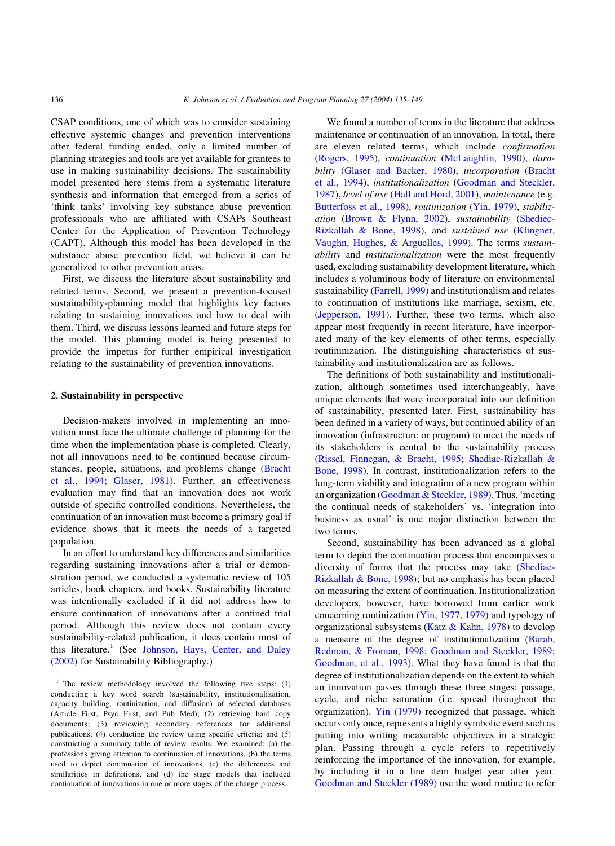CSAP conditions, one of which was to consider sustaining effective systemic changes and prevention interventions after federal funding ended, only a limited number of planning strategies and tools are yet available for grantees to use in making sustainability decisions. The sustainability model presented here stems from a systematic literature synthesis and information that emerged from a series of 'think tanks' involving key substance abuse prevention professionals who are affiliated with CSAPs Southeast Center for the Application of Prevention Technology (CAPT). Although this model has been developed in the substance abuse prevention field, we believe it can be generalized to other prevention areas.

First, we discuss the literature about sustainability and related terms. Second, we present a prevention-focused sustainability-planning model that highlights key factors relating to sustaining innovations and how to deal with them. Third, we discuss lessons learned and future steps for the model. This planning model is being presented to provide the impetus for further empirical investigation relating to the sustainability of prevention innovations.

## 2. Sustainability in perspective

Decision-makers involved in implementing an innovation must face the ultimate challenge of planning for the time when the implementation phase is completed. Clearly, not all innovations need to be continued because circumstances, people, situations, and problems change [\(Bracht](#page-12-0) [et al., 1994; Glaser, 1981](#page-12-0)). Further, an effectiveness evaluation may find that an innovation does not work outside of specific controlled conditions. Nevertheless, the continuation of an innovation must become a primary goal if evidence shows that it meets the needs of a targeted population.

In an effort to understand key differences and similarities regarding sustaining innovations after a trial or demonstration period, we conducted a systematic review of 105 articles, book chapters, and books. Sustainability literature was intentionally excluded if it did not address how to ensure continuation of innovations after a confined trial period. Although this review does not contain every sustainability-related publication, it does contain most of this literature.<sup>1</sup> (See [Johnson, Hays, Center, and Daley](#page-13-0) [\(2002\)](#page-13-0) for Sustainability Bibliography.)

We found a number of terms in the literature that address maintenance or continuation of an innovation. In total, there are eleven related terms, which include confirmation ([Rogers, 1995\)](#page-14-0), continuation ([McLaughlin, 1990\)](#page-14-0), dura-bility [\(Glaser and Backer, 1980\)](#page-13-0), incorporation [\(Bracht](#page-12-0) [et al., 1994\)](#page-12-0), institutionalization [\(Goodman and Steckler,](#page-13-0) [1987\)](#page-13-0), level of use [\(Hall and Hord, 2001](#page-13-0)), maintenance (e.g. [Butterfoss et al., 1998\)](#page-12-0), routinization ([Yin, 1979\)](#page-14-0), stabilization ([Brown & Flynn, 2002](#page-12-0)), sustainability ([Shediec-](#page-14-0)[Rizkallah & Bone, 1998](#page-14-0)), and sustained use ([Klingner,](#page-13-0) [Vaughn, Hughes, & Arguelles, 1999\)](#page-13-0). The terms *sustain*ability and institutionalization were the most frequently used, excluding sustainability development literature, which includes a voluminous body of literature on environmental sustainability [\(Farrell, 1999\)](#page-13-0) and institutionalism and relates to continuation of institutions like marriage, sexism, etc. ([Jepperson, 1991](#page-13-0)). Further, these two terms, which also appear most frequently in recent literature, have incorporated many of the key elements of other terms, especially routininization. The distinguishing characteristics of sustainability and institutionalization are as follows.

The definitions of both sustainability and institutionalization, although sometimes used interchangeably, have unique elements that were incorporated into our definition of sustainability, presented later. First, sustainability has been defined in a variety of ways, but continued ability of an innovation (infrastructure or program) to meet the needs of its stakeholders is central to the sustainability process ([Rissel, Finnegan, & Bracht, 1995; Shediac-Rizkallah &](#page-14-0) [Bone, 1998](#page-14-0)). In contrast, institutionalization refers to the long-term viability and integration of a new program within an organization [\(Goodman & Steckler, 1989](#page-13-0)). Thus, 'meeting the continual needs of stakeholders' vs. 'integration into business as usual' is one major distinction between the two terms.

Second, sustainability has been advanced as a global term to depict the continuation process that encompasses a diversity of forms that the process may take ([Shediac-](#page-14-0)[Rizkallah & Bone, 1998\)](#page-14-0); but no emphasis has been placed on measuring the extent of continuation. Institutionalization developers, however, have borrowed from earlier work concerning routinization [\(Yin, 1977, 1979](#page-14-0)) and typology of organizational subsystems (Katz  $&$  Kahn, 1978) to develop a measure of the degree of institutionalization [\(Barab,](#page-12-0) [Redman, & Froman, 1998; Goodman and Steckler, 1989;](#page-12-0) [Goodman, et al., 1993](#page-12-0)). What they have found is that the degree of institutionalization depends on the extent to which an innovation passes through these three stages: passage, cycle, and niche saturation (i.e. spread throughout the organization). [Yin \(1979\)](#page-14-0) recognized that passage, which occurs only once, represents a highly symbolic event such as putting into writing measurable objectives in a strategic plan. Passing through a cycle refers to repetitively reinforcing the importance of the innovation, for example, by including it in a line item budget year after year. [Goodman and Steckler \(1989\)](#page-13-0) use the word routine to refer

<sup>&</sup>lt;sup>1</sup> The review methodology involved the following five steps: (1) conducting a key word search (sustainability, institutionalization, capacity building, routinization, and diffusion) of selected databases (Article First, Psyc First, and Pub Med); (2) retrieving hard copy documents; (3) reviewing secondary references for additional publications; (4) conducting the review using specific criteria; and (5) constructing a summary table of review results. We examined: (a) the professions giving attention to continuation of innovations, (b) the terms used to depict continuation of innovations, (c) the differences and similarities in definitions, and (d) the stage models that included continuation of innovations in one or more stages of the change process.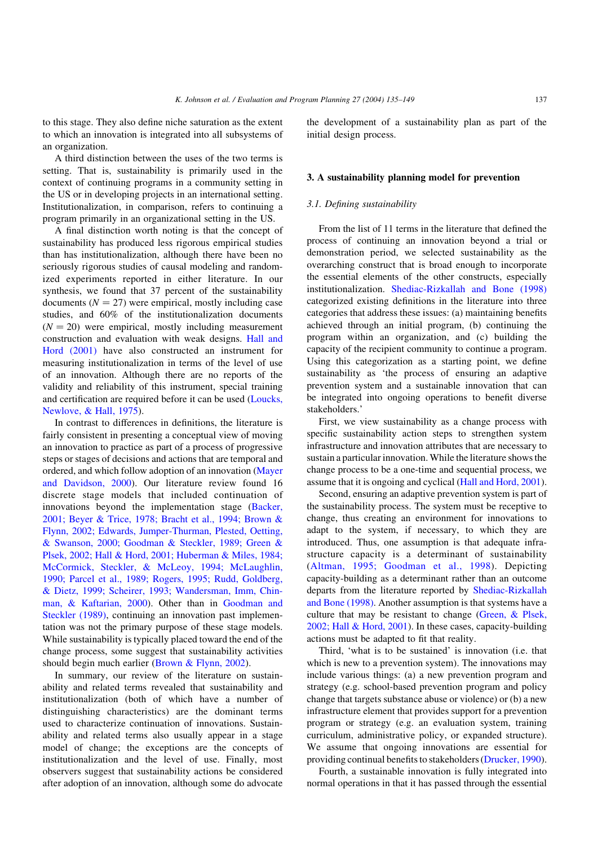to this stage. They also define niche saturation as the extent to which an innovation is integrated into all subsystems of an organization.

A third distinction between the uses of the two terms is setting. That is, sustainability is primarily used in the context of continuing programs in a community setting in the US or in developing projects in an international setting. Institutionalization, in comparison, refers to continuing a program primarily in an organizational setting in the US.

A final distinction worth noting is that the concept of sustainability has produced less rigorous empirical studies than has institutionalization, although there have been no seriously rigorous studies of causal modeling and randomized experiments reported in either literature. In our synthesis, we found that 37 percent of the sustainability documents  $(N = 27)$  were empirical, mostly including case studies, and 60% of the institutionalization documents  $(N = 20)$  were empirical, mostly including measurement construction and evaluation with weak designs. [Hall and](#page-13-0) [Hord \(2001\)](#page-13-0) have also constructed an instrument for measuring institutionalization in terms of the level of use of an innovation. Although there are no reports of the validity and reliability of this instrument, special training and certification are required before it can be used ([Loucks,](#page-13-0) [Newlove, & Hall, 1975\)](#page-13-0).

In contrast to differences in definitions, the literature is fairly consistent in presenting a conceptual view of moving an innovation to practice as part of a process of progressive steps or stages of decisions and actions that are temporal and ordered, and which follow adoption of an innovation ([Mayer](#page-14-0) [and Davidson, 2000\)](#page-14-0). Our literature review found 16 discrete stage models that included continuation of innovations beyond the implementation stage ([Backer,](#page-12-0) [2001; Beyer & Trice, 1978; Bracht et al., 1994; Brown &](#page-12-0) [Flynn, 2002; Edwards, Jumper-Thurman, Plested, Oetting,](#page-12-0) [& Swanson, 2000; Goodman & Steckler, 1989; Green &](#page-12-0) [Plsek, 2002; Hall & Hord, 2001; Huberman & Miles, 1984;](#page-12-0) [McCormick, Steckler, & McLeoy, 1994; McLaughlin,](#page-12-0) [1990; Parcel et al., 1989; Rogers, 1995; Rudd, Goldberg,](#page-12-0) [& Dietz, 1999; Scheirer, 1993; Wandersman, Imm, Chin](#page-12-0)[man, & Kaftarian, 2000\)](#page-12-0). Other than in [Goodman and](#page-13-0) [Steckler \(1989\),](#page-13-0) continuing an innovation past implementation was not the primary purpose of these stage models. While sustainability is typically placed toward the end of the change process, some suggest that sustainability activities should begin much earlier ([Brown & Flynn, 2002](#page-12-0)).

In summary, our review of the literature on sustainability and related terms revealed that sustainability and institutionalization (both of which have a number of distinguishing characteristics) are the dominant terms used to characterize continuation of innovations. Sustainability and related terms also usually appear in a stage model of change; the exceptions are the concepts of institutionalization and the level of use. Finally, most observers suggest that sustainability actions be considered after adoption of an innovation, although some do advocate

the development of a sustainability plan as part of the initial design process.

## 3. A sustainability planning model for prevention

## 3.1. Defining sustainability

From the list of 11 terms in the literature that defined the process of continuing an innovation beyond a trial or demonstration period, we selected sustainability as the overarching construct that is broad enough to incorporate the essential elements of the other constructs, especially institutionalization. [Shediac-Rizkallah and Bone \(1998\)](#page-14-0) categorized existing definitions in the literature into three categories that address these issues: (a) maintaining benefits achieved through an initial program, (b) continuing the program within an organization, and (c) building the capacity of the recipient community to continue a program. Using this categorization as a starting point, we define sustainability as 'the process of ensuring an adaptive prevention system and a sustainable innovation that can be integrated into ongoing operations to benefit diverse stakeholders.'

First, we view sustainability as a change process with specific sustainability action steps to strengthen system infrastructure and innovation attributes that are necessary to sustain a particular innovation. While the literature shows the change process to be a one-time and sequential process, we assume that it is ongoing and cyclical [\(Hall and Hord, 2001\)](#page-13-0).

Second, ensuring an adaptive prevention system is part of the sustainability process. The system must be receptive to change, thus creating an environment for innovations to adapt to the system, if necessary, to which they are introduced. Thus, one assumption is that adequate infrastructure capacity is a determinant of sustainability ([Altman, 1995; Goodman et al., 1998\)](#page-12-0). Depicting capacity-building as a determinant rather than an outcome departs from the literature reported by [Shediac-Rizkallah](#page-14-0) [and Bone \(1998\)](#page-14-0). Another assumption is that systems have a culture that may be resistant to change [\(Green, & Plsek,](#page-13-0) [2002; Hall & Hord, 2001](#page-13-0)). In these cases, capacity-building actions must be adapted to fit that reality.

Third, 'what is to be sustained' is innovation (i.e. that which is new to a prevention system). The innovations may include various things: (a) a new prevention program and strategy (e.g. school-based prevention program and policy change that targets substance abuse or violence) or (b) a new infrastructure element that provides support for a prevention program or strategy (e.g. an evaluation system, training curriculum, administrative policy, or expanded structure). We assume that ongoing innovations are essential for providing continual benefits to stakeholders ([Drucker, 1990\)](#page-13-0).

Fourth, a sustainable innovation is fully integrated into normal operations in that it has passed through the essential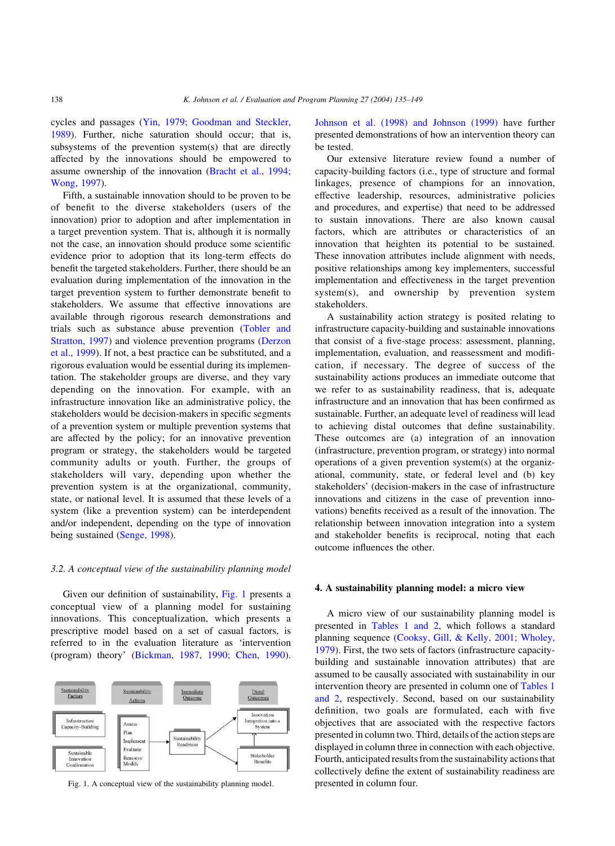cycles and passages [\(Yin, 1979; Goodman and Steckler,](#page-14-0) [1989\)](#page-14-0). Further, niche saturation should occur; that is, subsystems of the prevention system(s) that are directly affected by the innovations should be empowered to assume ownership of the innovation ([Bracht et al., 1994;](#page-12-0) [Wong, 1997\)](#page-12-0).

Fifth, a sustainable innovation should to be proven to be of benefit to the diverse stakeholders (users of the innovation) prior to adoption and after implementation in a target prevention system. That is, although it is normally not the case, an innovation should produce some scientific evidence prior to adoption that its long-term effects do benefit the targeted stakeholders. Further, there should be an evaluation during implementation of the innovation in the target prevention system to further demonstrate benefit to stakeholders. We assume that effective innovations are available through rigorous research demonstrations and trials such as substance abuse prevention [\(Tobler and](#page-14-0) [Stratton, 1997](#page-14-0)) and violence prevention programs [\(Derzon](#page-12-0) [et al., 1999](#page-12-0)). If not, a best practice can be substituted, and a rigorous evaluation would be essential during its implementation. The stakeholder groups are diverse, and they vary depending on the innovation. For example, with an infrastructure innovation like an administrative policy, the stakeholders would be decision-makers in specific segments of a prevention system or multiple prevention systems that are affected by the policy; for an innovative prevention program or strategy, the stakeholders would be targeted community adults or youth. Further, the groups of stakeholders will vary, depending upon whether the prevention system is at the organizational, community, state, or national level. It is assumed that these levels of a system (like a prevention system) can be interdependent and/or independent, depending on the type of innovation being sustained [\(Senge, 1998](#page-14-0)).

## 3.2. A conceptual view of the sustainability planning model

Given our definition of sustainability, Fig. 1 presents a conceptual view of a planning model for sustaining innovations. This conceptualization, which presents a prescriptive model based on a set of casual factors, is referred to in the evaluation literature as 'intervention (program) theory' [\(Bickman, 1987, 1990; Chen, 1990\)](#page-12-0).



Fig. 1. A conceptual view of the sustainability planning model. presented in column four.

[Johnson et al. \(1998\) and Johnson \(1999\)](#page-13-0) have further presented demonstrations of how an intervention theory can be tested.

Our extensive literature review found a number of capacity-building factors (i.e., type of structure and formal linkages, presence of champions for an innovation, effective leadership, resources, administrative policies and procedures, and expertise) that need to be addressed to sustain innovations. There are also known causal factors, which are attributes or characteristics of an innovation that heighten its potential to be sustained. These innovation attributes include alignment with needs, positive relationships among key implementers, successful implementation and effectiveness in the target prevention system(s), and ownership by prevention system stakeholders.

A sustainability action strategy is posited relating to infrastructure capacity-building and sustainable innovations that consist of a five-stage process: assessment, planning, implementation, evaluation, and reassessment and modification, if necessary. The degree of success of the sustainability actions produces an immediate outcome that we refer to as sustainability readiness, that is, adequate infrastructure and an innovation that has been confirmed as sustainable. Further, an adequate level of readiness will lead to achieving distal outcomes that define sustainability. These outcomes are (a) integration of an innovation (infrastructure, prevention program, or strategy) into normal operations of a given prevention system(s) at the organizational, community, state, or federal level and (b) key stakeholders' (decision-makers in the case of infrastructure innovations and citizens in the case of prevention innovations) benefits received as a result of the innovation. The relationship between innovation integration into a system and stakeholder benefits is reciprocal, noting that each outcome influences the other.

## 4. A sustainability planning model: a micro view

A micro view of our sustainability planning model is presented in [Tables 1 and 2,](#page-4-0) which follows a standard planning sequence [\(Cooksy, Gill, & Kelly, 2001; Wholey,](#page-12-0) [1979\)](#page-12-0). First, the two sets of factors (infrastructure capacitybuilding and sustainable innovation attributes) that are assumed to be causally associated with sustainability in our intervention theory are presented in column one of [Tables 1](#page-4-0) [and 2](#page-4-0), respectively. Second, based on our sustainability definition, two goals are formulated, each with five objectives that are associated with the respective factors presented in column two. Third, details of the action steps are displayed in column three in connection with each objective. Fourth, anticipated results from the sustainability actions that collectively define the extent of sustainability readiness are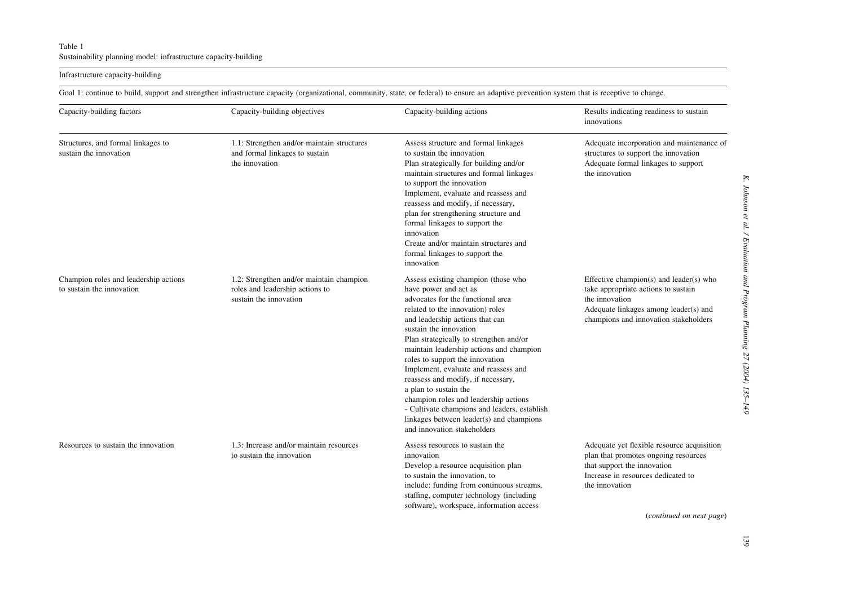## <span id="page-4-0"></span>Table 1Sustainability planning model: infrastructure capacity-building

## Infrastructure capacity-building

Goal 1: continue to build, support and strengthen infrastructure capacity (organizational, community, state, or federal) to ensure an adaptive prevention system that is receptive to change.

| Capacity-building factors                                          | Capacity-building objectives                                                                          | Capacity-building actions                                                                                                                                                                                                                                                                                                                                                                                                                                                                                                                                                                               | Results indicating readiness to sustain<br>innovations                                                                                                                                                |
|--------------------------------------------------------------------|-------------------------------------------------------------------------------------------------------|---------------------------------------------------------------------------------------------------------------------------------------------------------------------------------------------------------------------------------------------------------------------------------------------------------------------------------------------------------------------------------------------------------------------------------------------------------------------------------------------------------------------------------------------------------------------------------------------------------|-------------------------------------------------------------------------------------------------------------------------------------------------------------------------------------------------------|
| Structures, and formal linkages to<br>sustain the innovation       | 1.1: Strengthen and/or maintain structures<br>and formal linkages to sustain<br>the innovation        | Assess structure and formal linkages<br>to sustain the innovation<br>Plan strategically for building and/or<br>maintain structures and formal linkages<br>to support the innovation<br>Implement, evaluate and reassess and<br>reassess and modify, if necessary,<br>plan for strengthening structure and<br>formal linkages to support the<br>innovation<br>Create and/or maintain structures and<br>formal linkages to support the<br>innovation                                                                                                                                                      | Adequate incorporation and maintenance of<br>structures to support the innovation<br>Adequate formal linkages to support<br>the innovation                                                            |
| Champion roles and leadership actions<br>to sustain the innovation | 1.2: Strengthen and/or maintain champion<br>roles and leadership actions to<br>sustain the innovation | Assess existing champion (those who<br>have power and act as<br>advocates for the functional area<br>related to the innovation) roles<br>and leadership actions that can<br>sustain the innovation<br>Plan strategically to strengthen and/or<br>maintain leadership actions and champion<br>roles to support the innovation<br>Implement, evaluate and reassess and<br>reassess and modify, if necessary,<br>a plan to sustain the<br>champion roles and leadership actions<br>- Cultivate champions and leaders, establish<br>linkages between leader(s) and champions<br>and innovation stakeholders | Effective champion(s) and leader(s) who<br>take appropriate actions to sustain<br>the innovation<br>Adequate linkages among leader(s) and<br>champions and innovation stakeholders                    |
| Resources to sustain the innovation                                | 1.3: Increase and/or maintain resources<br>to sustain the innovation                                  | Assess resources to sustain the<br>innovation<br>Develop a resource acquisition plan<br>to sustain the innovation, to<br>include: funding from continuous streams,<br>staffing, computer technology (including<br>software), workspace, information access                                                                                                                                                                                                                                                                                                                                              | Adequate yet flexible resource acquisition<br>plan that promotes ongoing resources<br>that support the innovation<br>Increase in resources dedicated to<br>the innovation<br>(continued on next page) |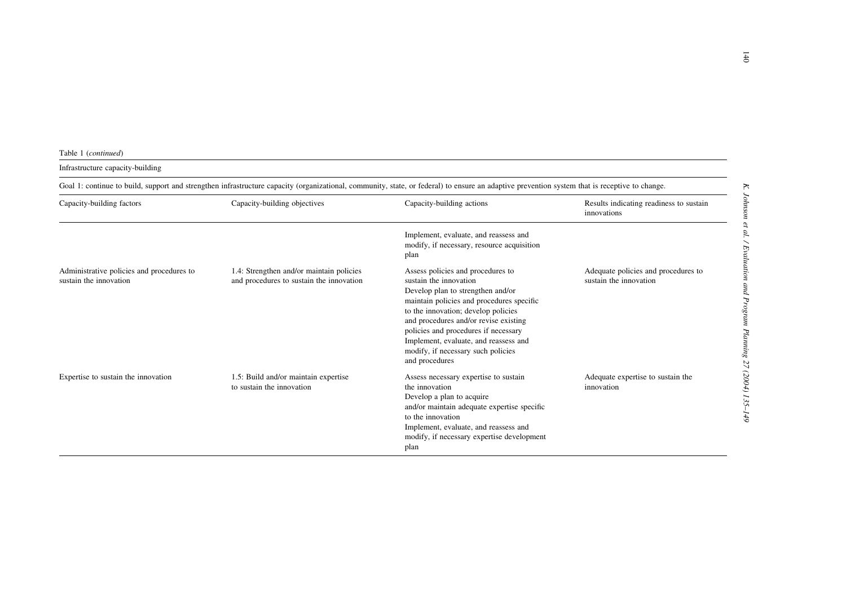## Infrastructure capacity-building

|                                                                     |                                                                                      | Goal 1: continue to build, support and strengthen infrastructure capacity (organizational, community, state, or federal) to ensure an adaptive prevention system that is receptive to change.                                                                                                                                                                          |                                                               |
|---------------------------------------------------------------------|--------------------------------------------------------------------------------------|------------------------------------------------------------------------------------------------------------------------------------------------------------------------------------------------------------------------------------------------------------------------------------------------------------------------------------------------------------------------|---------------------------------------------------------------|
| Capacity-building factors                                           | Capacity-building objectives                                                         | Capacity-building actions                                                                                                                                                                                                                                                                                                                                              | Results indicating readiness to sustain<br>innovations        |
|                                                                     |                                                                                      | Implement, evaluate, and reassess and<br>modify, if necessary, resource acquisition<br>plan                                                                                                                                                                                                                                                                            |                                                               |
| Administrative policies and procedures to<br>sustain the innovation | 1.4: Strengthen and/or maintain policies<br>and procedures to sustain the innovation | Assess policies and procedures to<br>sustain the innovation<br>Develop plan to strengthen and/or<br>maintain policies and procedures specific<br>to the innovation; develop policies<br>and procedures and/or revise existing<br>policies and procedures if necessary<br>Implement, evaluate, and reassess and<br>modify, if necessary such policies<br>and procedures | Adequate policies and procedures to<br>sustain the innovation |
| Expertise to sustain the innovation                                 | 1.5: Build and/or maintain expertise<br>to sustain the innovation                    | Assess necessary expertise to sustain<br>the innovation<br>Develop a plan to acquire<br>and/or maintain adequate expertise specific<br>to the innovation<br>Implement, evaluate, and reassess and<br>modify, if necessary expertise development<br>plan                                                                                                                | Adequate expertise to sustain the<br>innovation               |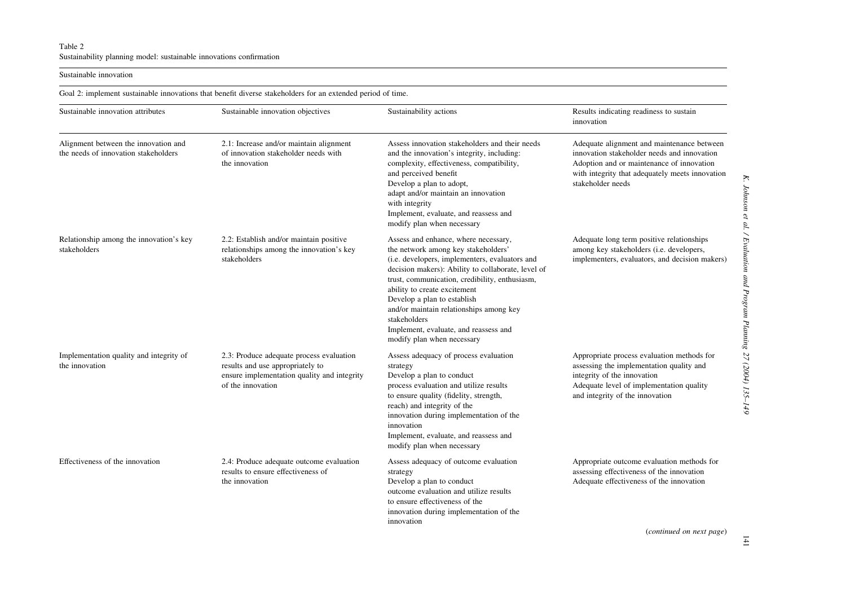<span id="page-6-0"></span>Sustainable innovation

Goal 2: implement sustainable innovations that benefit diverse stakeholders for an extended period of time. Sustainable innovation attributes Sustainable innovation objectives Sustainability actions Results indicating readiness to sustain innovationAlignment between the innovation and the needs of innovation stakeholders 2.1: Increase and/or maintain alignment of innovation stakeholder needs with the innovationAssess innovation stakeholders and their needsand the innovation's integrity, including: complexity, effectiveness, compatibility, and perceived benefit Adequate alignment and maintenance between innovation stakeholder needs and innovation Adoption and or maintenance of innovation with integrity that adequately meets innovation Develop <sup>a</sup> plan to adopt, adapt and/or maintain an innovation with integrity stakeholder needsImplement, evaluate, and reassess and modify plan when necessary Relationship among the innovation's key stakeholders2.2: Establish and/or maintain positive relationships among the innovation's key stakeholdersAssess and enhance, where necessary, the network among key stakeholders' (i.e. developers, implementers, evaluators and decision makers): Ability to collaborate, level of trust, communication, credibility, enthusiasm, ability to create excitement Adequate long term positive relationships among key stakeholders (i.e. developers, implementers, evaluators, and decision makers) Develop <sup>a</sup> plan to establish and/or maintain relationships among key stakeholdersImplement, evaluate, and reassess and modify plan when necessary Implementation quality and integrity of the innovation2.3: Produce adequate process evaluation results and use appropriately to ensure implementation quality and integrity of the innovationAssess adequacy of process evaluation strategy Develop <sup>a</sup> plan to conduct Appropriate process evaluation methods for assessing the implementation quality and integrity of the innovation process evaluation and utilize results to ensure quality (fidelity, strength, reach) and integrity of the innovation during implementation of the innovationAdequate level of implementation quality and integrity of the innovation Implement, evaluate, and reassess and modify plan when necessary Effectiveness of the innovation 2.4: Produce adequate outcome evaluation results to ensure effectiveness ofthe innovationAssess adequacy of outcome evaluation strategy Appropriate outcome evaluation methods for assessing effectiveness of the innovation Develop <sup>a</sup> plan to conduct outcome evaluation and utilize resultsto ensure effectiveness of theinnovation during implementation of the Adequate effectiveness of the innovation

innovation

(continued on next page)

141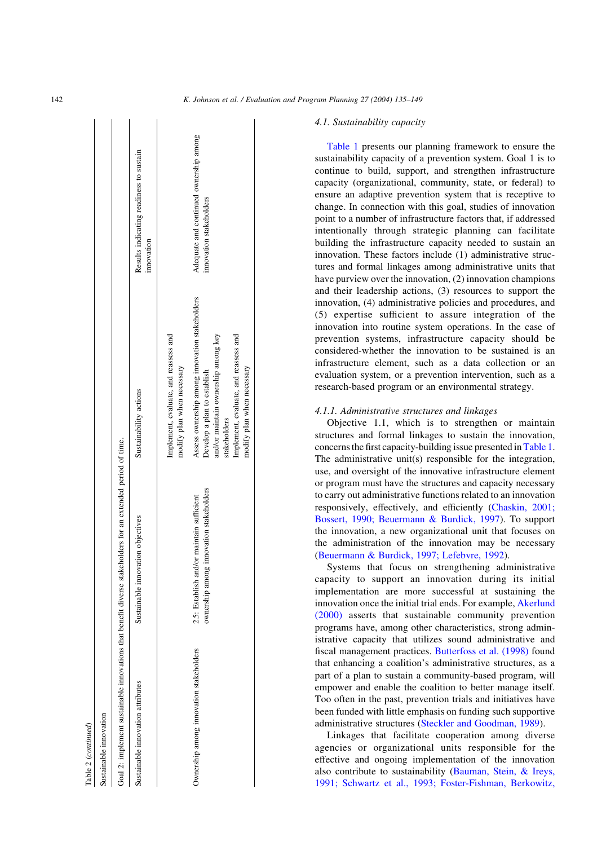| ı |  |
|---|--|
|   |  |
|   |  |

| Sustainable innovation                  |                                                                                                             |                                                                                                                                                                               |                                                                   |
|-----------------------------------------|-------------------------------------------------------------------------------------------------------------|-------------------------------------------------------------------------------------------------------------------------------------------------------------------------------|-------------------------------------------------------------------|
|                                         | Goal 2: implement sustainable innovations that benefit diverse stakeholders for an extended period of time. |                                                                                                                                                                               |                                                                   |
| Sustainable innovation attributes       | Sustainable innovation objectives                                                                           | Sustainability actions                                                                                                                                                        | Results indicating readiness to sustain<br>innovation             |
|                                         |                                                                                                             | Implement, evaluate, and reassess and<br>modify plan when necessary                                                                                                           |                                                                   |
| Ownership among innovation stakeholders | ownership among innovation stakeholders<br>2.5: Establish and/or maintain sufficient                        | Assess ownership among innovation stakeholders<br>and/or maintain ownership among key<br>Implement, evaluate, and reassess and<br>Develop a plan to establish<br>stakeholders | Adequate and continued ownership among<br>innovation stakeholders |
|                                         |                                                                                                             | modify plan when necessary                                                                                                                                                    |                                                                   |

## 4.1. Sustainability capacity

[Table 1](#page-4-0) presents our planning framework to ensure the sustainability capacity of a prevention system. Goal 1 is to continue to build, support, and strengthen infrastructure capacity (organizational, community, state, or federal) to ensure an adaptive prevention system that is receptive to change. In connection with this goal, studies of innovation point to a number of infrastructure factors that, if addressed intentionally through strategic planning can facilitate building the infrastructure capacity needed to sustain an innovation. These factors include (1) administrative structures and formal linkages among administrative units that have purview over the innovation, (2) innovation champions and their leadership actions, (3) resources to support the innovation, (4) administrative policies and procedures, and (5) expertise sufficient to assure integration of the innovation into routine system operations. In the case of prevention systems, infrastructure capacity should be considered-whether the innovation to be sustained is an infrastructure element, such as a data collection or an evaluation system, or a prevention intervention, such as a research-based program or an environmental strategy.

## 4.1.1. Administrative structures and linkages

Objective 1.1, which is to strengthen or maintain structures and formal linkages to sustain the innovation, concerns the first capacity-building issue presented in[Table 1](#page-4-0). The administrative unit(s) responsible for the integration, use, and oversight of the innovative infrastructure element or program must have the structures and capacity necessary to carry out administrative functions related to an innovation responsively, effectively, and efficiently ([Chaskin, 2001;](#page-12-0) [Bossert, 1990; Beuermann & Burdick, 1997\)](#page-12-0). To support the innovation, a new organizational unit that focuses on the administration of the innovation may be necessary ([Beuermann & Burdick, 1997; Lefebvre, 1992](#page-12-0)).

Systems that focus on strengthening administrative capacity to support an innovation during its initial implementation are more successful at sustaining the innovation once the initial trial ends. For example, [Akerlund](#page-12-0) [\(2000\)](#page-12-0) asserts that sustainable community prevention programs have, among other characteristics, strong administrative capacity that utilizes sound administrative and fiscal management practices. [Butterfoss et al. \(1998\)](#page-12-0) found that enhancing a coalition's administrative structures, as a part of a plan to sustain a community-based program, will empower and enable the coalition to better manage itself. Too often in the past, prevention trials and initiatives have been funded with little emphasis on funding such supportive administrative structures [\(Steckler and Goodman, 1989](#page-14-0)).

Linkages that facilitate cooperation among diverse agencies or organizational units responsible for the effective and ongoing implementation of the innovation also contribute to sustainability [\(Bauman, Stein, & Ireys,](#page-12-0) [1991; Schwartz et al., 1993; Foster-Fishman, Berkowitz,](#page-12-0)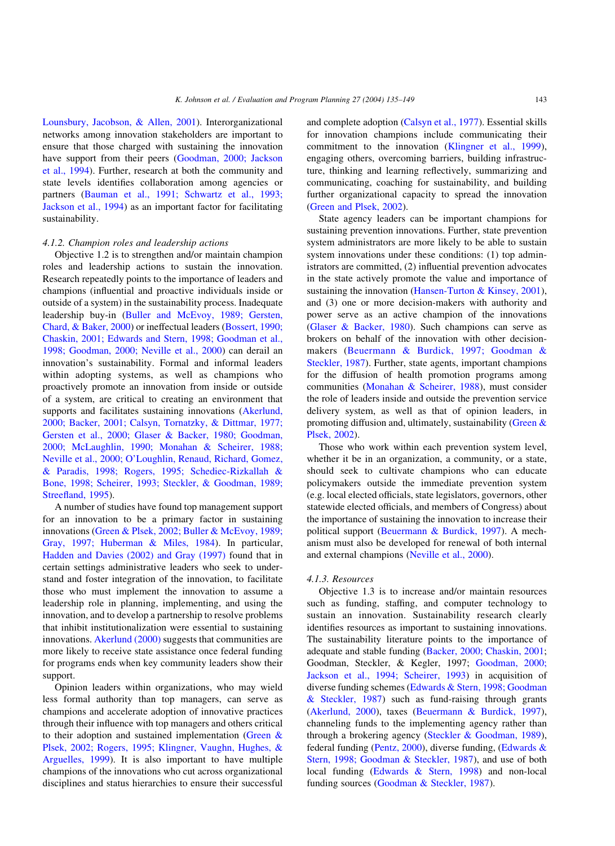[Lounsbury, Jacobson, & Allen, 2001\)](#page-12-0). Interorganizational networks among innovation stakeholders are important to ensure that those charged with sustaining the innovation have support from their peers [\(Goodman, 2000; Jackson](#page-13-0) [et al., 1994\)](#page-13-0). Further, research at both the community and state levels identifies collaboration among agencies or partners [\(Bauman et al., 1991; Schwartz et al., 1993;](#page-12-0) [Jackson et al., 1994](#page-12-0)) as an important factor for facilitating sustainability.

## 4.1.2. Champion roles and leadership actions

Objective 1.2 is to strengthen and/or maintain champion roles and leadership actions to sustain the innovation. Research repeatedly points to the importance of leaders and champions (influential and proactive individuals inside or outside of a system) in the sustainability process. Inadequate leadership buy-in [\(Buller and McEvoy, 1989; Gersten,](#page-12-0) [Chard, & Baker, 2000\)](#page-12-0) or ineffectual leaders [\(Bossert, 1990;](#page-12-0) [Chaskin, 2001; Edwards and Stern, 1998; Goodman et al.,](#page-12-0) [1998; Goodman, 2000; Neville et al., 2000](#page-12-0)) can derail an innovation's sustainability. Formal and informal leaders within adopting systems, as well as champions who proactively promote an innovation from inside or outside of a system, are critical to creating an environment that supports and facilitates sustaining innovations [\(Akerlund,](#page-12-0) [2000; Backer, 2001; Calsyn, Tornatzky, & Dittmar, 1977;](#page-12-0) [Gersten et al., 2000; Glaser & Backer, 1980; Goodman,](#page-12-0) [2000; McLaughlin, 1990; Monahan & Scheirer, 1988;](#page-12-0) [Neville et al., 2000; O'Loughlin, Renaud, Richard, Gomez,](#page-12-0) [& Paradis, 1998; Rogers, 1995; Schediec-Rizkallah &](#page-12-0) [Bone, 1998; Scheirer, 1993; Steckler, & Goodman, 1989;](#page-12-0) [Streefland, 1995\)](#page-12-0).

A number of studies have found top management support for an innovation to be a primary factor in sustaining innovations ([Green & Plsek, 2002; Buller & McEvoy, 1989;](#page-13-0) [Gray, 1997; Huberman & Miles, 1984](#page-13-0)). In particular, [Hadden and Davies \(2002\) and Gray \(1997\)](#page-13-0) found that in certain settings administrative leaders who seek to understand and foster integration of the innovation, to facilitate those who must implement the innovation to assume a leadership role in planning, implementing, and using the innovation, and to develop a partnership to resolve problems that inhibit institutionalization were essential to sustaining innovations. [Akerlund \(2000\)](#page-12-0) suggests that communities are more likely to receive state assistance once federal funding for programs ends when key community leaders show their support.

Opinion leaders within organizations, who may wield less formal authority than top managers, can serve as champions and accelerate adoption of innovative practices through their influence with top managers and others critical to their adoption and sustained implementation [\(Green &](#page-13-0) [Plsek, 2002; Rogers, 1995; Klingner, Vaughn, Hughes, &](#page-13-0) [Arguelles, 1999](#page-13-0)). It is also important to have multiple champions of the innovations who cut across organizational disciplines and status hierarchies to ensure their successful

and complete adoption [\(Calsyn et al., 1977\)](#page-12-0). Essential skills for innovation champions include communicating their commitment to the innovation [\(Klingner et al., 1999\)](#page-13-0), engaging others, overcoming barriers, building infrastructure, thinking and learning reflectively, summarizing and communicating, coaching for sustainability, and building further organizational capacity to spread the innovation ([Green and Plsek, 2002\)](#page-13-0).

State agency leaders can be important champions for sustaining prevention innovations. Further, state prevention system administrators are more likely to be able to sustain system innovations under these conditions: (1) top administrators are committed, (2) influential prevention advocates in the state actively promote the value and importance of sustaining the innovation [\(Hansen-Turton & Kinsey, 2001\)](#page-13-0), and (3) one or more decision-makers with authority and power serve as an active champion of the innovations ([Glaser & Backer, 1980](#page-13-0)). Such champions can serve as brokers on behalf of the innovation with other decisionmakers ([Beuermann & Burdick, 1997; Goodman &](#page-12-0) [Steckler, 1987\)](#page-12-0). Further, state agents, important champions for the diffusion of health promotion programs among communities ([Monahan & Scheirer, 1988\)](#page-14-0), must consider the role of leaders inside and outside the prevention service delivery system, as well as that of opinion leaders, in promoting diffusion and, ultimately, sustainability [\(Green &](#page-13-0) [Plsek, 2002\)](#page-13-0).

Those who work within each prevention system level, whether it be in an organization, a community, or a state, should seek to cultivate champions who can educate policymakers outside the immediate prevention system (e.g. local elected officials, state legislators, governors, other statewide elected officials, and members of Congress) about the importance of sustaining the innovation to increase their political support [\(Beuermann & Burdick, 1997](#page-12-0)). A mechanism must also be developed for renewal of both internal and external champions ([Neville et al., 2000\)](#page-14-0).

#### 4.1.3. Resources

Objective 1.3 is to increase and/or maintain resources such as funding, staffing, and computer technology to sustain an innovation. Sustainability research clearly identifies resources as important to sustaining innovations. The sustainability literature points to the importance of adequate and stable funding ([Backer, 2000; Chaskin, 2001;](#page-12-0) Goodman, Steckler, & Kegler, 1997; [Goodman, 2000;](#page-13-0) [Jackson et al., 1994; Scheirer, 1993\)](#page-13-0) in acquisition of diverse funding schemes [\(Edwards & Stern, 1998; Goodman](#page-13-0) [& Steckler, 1987\)](#page-13-0) such as fund-raising through grants ([Akerlund, 2000](#page-12-0)), taxes [\(Beuermann & Burdick, 1997\)](#page-12-0), channeling funds to the implementing agency rather than through a brokering agency ([Steckler & Goodman, 1989\)](#page-14-0), federal funding ([Pentz, 2000](#page-14-0)), diverse funding, [\(Edwards &](#page-13-0) [Stern, 1998; Goodman & Steckler, 1987](#page-13-0)), and use of both local funding ([Edwards & Stern, 1998\)](#page-13-0) and non-local funding sources ([Goodman & Steckler, 1987](#page-13-0)).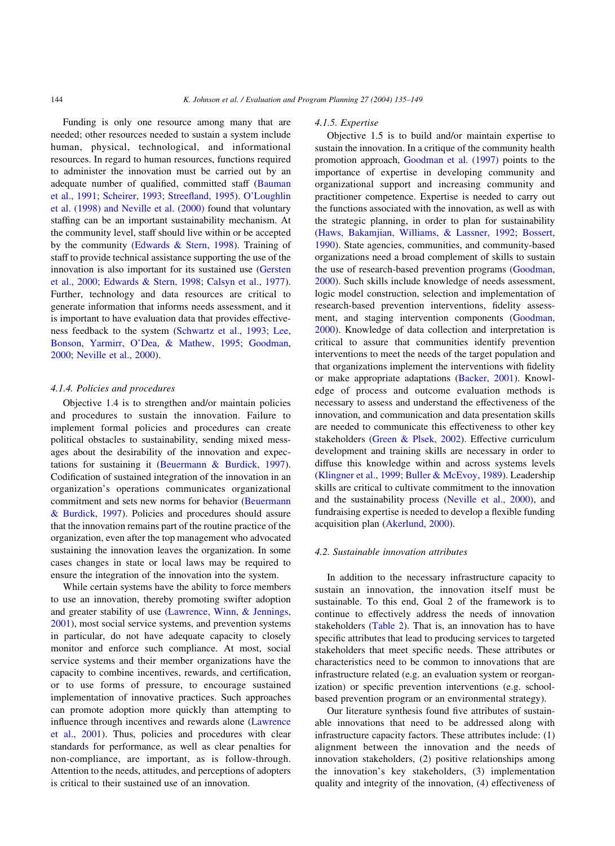Funding is only one resource among many that are needed; other resources needed to sustain a system include human, physical, technological, and informational resources. In regard to human resources, functions required to administer the innovation must be carried out by an adequate number of qualified, committed staff [\(Bauman](#page-12-0) [et al., 1991; Scheirer, 1993; Streefland, 1995\)](#page-12-0). [O'Loughlin](#page-14-0) [et al. \(1998\) and Neville et al. \(2000\)](#page-14-0) found that voluntary staffing can be an important sustainability mechanism. At the community level, staff should live within or be accepted by the community [\(Edwards & Stern, 1998\)](#page-13-0). Training of staff to provide technical assistance supporting the use of the innovation is also important for its sustained use ([Gersten](#page-13-0) [et al., 2000; Edwards & Stern, 1998; Calsyn et al., 1977\)](#page-13-0). Further, technology and data resources are critical to generate information that informs needs assessment, and it is important to have evaluation data that provides effectiveness feedback to the system ([Schwartz et al., 1993; Lee,](#page-14-0) [Bonson, Yarmirr, O'Dea, & Mathew, 1995; Goodman,](#page-14-0) [2000; Neville et al., 2000](#page-14-0)).

## 4.1.4. Policies and procedures

Objective 1.4 is to strengthen and/or maintain policies and procedures to sustain the innovation. Failure to implement formal policies and procedures can create political obstacles to sustainability, sending mixed messages about the desirability of the innovation and expectations for sustaining it ([Beuermann & Burdick, 1997\)](#page-12-0). Codification of sustained integration of the innovation in an organization's operations communicates organizational commitment and sets new norms for behavior ([Beuermann](#page-12-0) [& Burdick, 1997](#page-12-0)). Policies and procedures should assure that the innovation remains part of the routine practice of the organization, even after the top management who advocated sustaining the innovation leaves the organization. In some cases changes in state or local laws may be required to ensure the integration of the innovation into the system.

While certain systems have the ability to force members to use an innovation, thereby promoting swifter adoption and greater stability of use [\(Lawrence, Winn, & Jennings,](#page-13-0) [2001\)](#page-13-0), most social service systems, and prevention systems in particular, do not have adequate capacity to closely monitor and enforce such compliance. At most, social service systems and their member organizations have the capacity to combine incentives, rewards, and certification, or to use forms of pressure, to encourage sustained implementation of innovative practices. Such approaches can promote adoption more quickly than attempting to influence through incentives and rewards alone [\(Lawrence](#page-13-0) [et al., 2001](#page-13-0)). Thus, policies and procedures with clear standards for performance, as well as clear penalties for non-compliance, are important, as is follow-through. Attention to the needs, attitudes, and perceptions of adopters is critical to their sustained use of an innovation.

## 4.1.5. Expertise

Objective 1.5 is to build and/or maintain expertise to sustain the innovation. In a critique of the community health promotion approach, [Goodman et al. \(1997\)](#page-13-0) points to the importance of expertise in developing community and organizational support and increasing community and practitioner competence. Expertise is needed to carry out the functions associated with the innovation, as well as with the strategic planning, in order to plan for sustainability ([Haws, Bakamjian, Williams, & Lassner, 1992; Bossert,](#page-13-0) [1990\)](#page-13-0). State agencies, communities, and community-based organizations need a broad complement of skills to sustain the use of research-based prevention programs ([Goodman,](#page-13-0) [2000\)](#page-13-0). Such skills include knowledge of needs assessment, logic model construction, selection and implementation of research-based prevention interventions, fidelity assessment, and staging intervention components ([Goodman,](#page-13-0) [2000\)](#page-13-0). Knowledge of data collection and interpretation is critical to assure that communities identify prevention interventions to meet the needs of the target population and that organizations implement the interventions with fidelity or make appropriate adaptations ([Backer, 2001\)](#page-12-0). Knowledge of process and outcome evaluation methods is necessary to assess and understand the effectiveness of the innovation, and communication and data presentation skills are needed to communicate this effectiveness to other key stakeholders ([Green & Plsek, 2002\)](#page-13-0). Effective curriculum development and training skills are necessary in order to diffuse this knowledge within and across systems levels ([Klingner et al., 1999; Buller & McEvoy, 1989](#page-13-0)). Leadership skills are critical to cultivate commitment to the innovation and the sustainability process [\(Neville et al., 2000\)](#page-14-0), and fundraising expertise is needed to develop a flexible funding acquisition plan [\(Akerlund, 2000](#page-12-0)).

#### 4.2. Sustainable innovation attributes

In addition to the necessary infrastructure capacity to sustain an innovation, the innovation itself must be sustainable. To this end, Goal 2 of the framework is to continue to effectively address the needs of innovation stakeholders ([Table 2](#page-6-0)). That is, an innovation has to have specific attributes that lead to producing services to targeted stakeholders that meet specific needs. These attributes or characteristics need to be common to innovations that are infrastructure related (e.g. an evaluation system or reorganization) or specific prevention interventions (e.g. schoolbased prevention program or an environmental strategy).

Our literature synthesis found five attributes of sustainable innovations that need to be addressed along with infrastructure capacity factors. These attributes include: (1) alignment between the innovation and the needs of innovation stakeholders, (2) positive relationships among the innovation's key stakeholders, (3) implementation quality and integrity of the innovation, (4) effectiveness of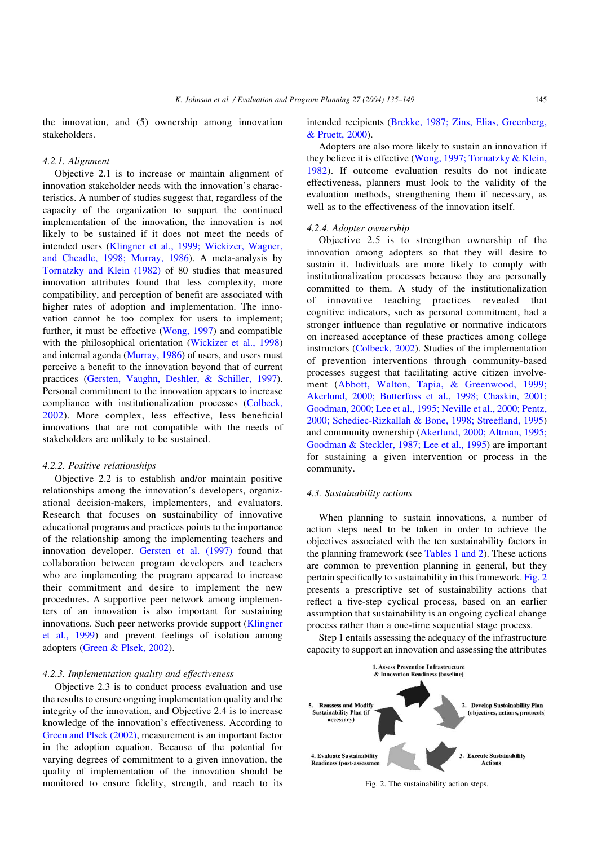the innovation, and (5) ownership among innovation stakeholders.

## 4.2.1. Alignment

Objective 2.1 is to increase or maintain alignment of innovation stakeholder needs with the innovation's characteristics. A number of studies suggest that, regardless of the capacity of the organization to support the continued implementation of the innovation, the innovation is not likely to be sustained if it does not meet the needs of intended users [\(Klingner et al., 1999; Wickizer, Wagner,](#page-13-0) [and Cheadle, 1998; Murray, 1986](#page-13-0)). A meta-analysis by [Tornatzky and Klein \(1982\)](#page-14-0) of 80 studies that measured innovation attributes found that less complexity, more compatibility, and perception of benefit are associated with higher rates of adoption and implementation. The innovation cannot be too complex for users to implement; further, it must be effective ([Wong, 1997](#page-14-0)) and compatible with the philosophical orientation ([Wickizer et al., 1998](#page-14-0)) and internal agenda [\(Murray, 1986](#page-14-0)) of users, and users must perceive a benefit to the innovation beyond that of current practices ([Gersten, Vaughn, Deshler, & Schiller, 1997\)](#page-13-0). Personal commitment to the innovation appears to increase compliance with institutionalization processes ([Colbeck,](#page-12-0) [2002](#page-12-0)). More complex, less effective, less beneficial innovations that are not compatible with the needs of stakeholders are unlikely to be sustained.

## 4.2.2. Positive relationships

Objective 2.2 is to establish and/or maintain positive relationships among the innovation's developers, organizational decision-makers, implementers, and evaluators. Research that focuses on sustainability of innovative educational programs and practices points to the importance of the relationship among the implementing teachers and innovation developer. [Gersten et al. \(1997\)](#page-13-0) found that collaboration between program developers and teachers who are implementing the program appeared to increase their commitment and desire to implement the new procedures. A supportive peer network among implementers of an innovation is also important for sustaining innovations. Such peer networks provide support [\(Klingner](#page-13-0) [et al., 1999\)](#page-13-0) and prevent feelings of isolation among adopters ([Green & Plsek, 2002](#page-13-0)).

## 4.2.3. Implementation quality and effectiveness

Objective 2.3 is to conduct process evaluation and use the results to ensure ongoing implementation quality and the integrity of the innovation, and Objective 2.4 is to increase knowledge of the innovation's effectiveness. According to [Green and Plsek \(2002\)](#page-13-0), measurement is an important factor in the adoption equation. Because of the potential for varying degrees of commitment to a given innovation, the quality of implementation of the innovation should be monitored to ensure fidelity, strength, and reach to its

intended recipients [\(Brekke, 1987; Zins, Elias, Greenberg,](#page-12-0) [& Pruett, 2000\)](#page-12-0).

Adopters are also more likely to sustain an innovation if they believe it is effective ([Wong, 1997; Tornatzky & Klein,](#page-14-0) [1982\)](#page-14-0). If outcome evaluation results do not indicate effectiveness, planners must look to the validity of the evaluation methods, strengthening them if necessary, as well as to the effectiveness of the innovation itself.

## 4.2.4. Adopter ownership

Objective 2.5 is to strengthen ownership of the innovation among adopters so that they will desire to sustain it. Individuals are more likely to comply with institutionalization processes because they are personally committed to them. A study of the institutionalization of innovative teaching practices revealed that cognitive indicators, such as personal commitment, had a stronger influence than regulative or normative indicators on increased acceptance of these practices among college instructors [\(Colbeck, 2002](#page-12-0)). Studies of the implementation of prevention interventions through community-based processes suggest that facilitating active citizen involvement ([Abbott, Walton, Tapia, & Greenwood, 1999;](#page-12-0) [Akerlund, 2000; Butterfoss et al., 1998; Chaskin, 2001;](#page-12-0) [Goodman, 2000; Lee et al., 1995; Neville et al., 2000; Pentz,](#page-12-0) [2000; Schediec-Rizkallah & Bone, 1998; Streefland, 1995](#page-12-0)) and community ownership [\(Akerlund, 2000; Altman, 1995;](#page-12-0) [Goodman & Steckler, 1987; Lee et al., 1995\)](#page-12-0) are important for sustaining a given intervention or process in the community.

## 4.3. Sustainability actions

When planning to sustain innovations, a number of action steps need to be taken in order to achieve the objectives associated with the ten sustainability factors in the planning framework (see [Tables 1 and 2](#page-4-0)). These actions are common to prevention planning in general, but they pertain specifically to sustainability in this framework. Fig. 2 presents a prescriptive set of sustainability actions that reflect a five-step cyclical process, based on an earlier assumption that sustainability is an ongoing cyclical change process rather than a one-time sequential stage process.

Step 1 entails assessing the adequacy of the infrastructure capacity to support an innovation and assessing the attributes



Fig. 2. The sustainability action steps.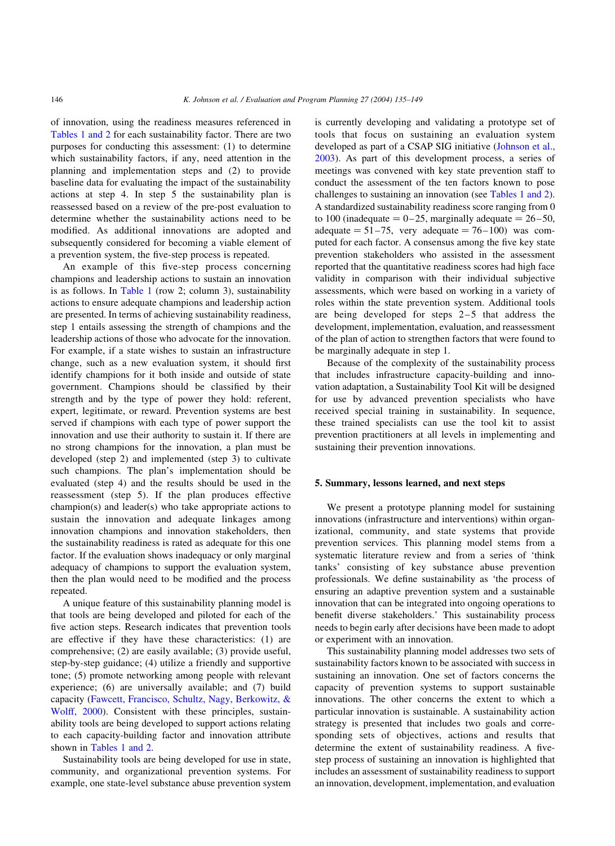of innovation, using the readiness measures referenced in [Tables 1 and 2](#page-4-0) for each sustainability factor. There are two purposes for conducting this assessment: (1) to determine which sustainability factors, if any, need attention in the planning and implementation steps and (2) to provide baseline data for evaluating the impact of the sustainability actions at step 4. In step 5 the sustainability plan is reassessed based on a review of the pre-post evaluation to determine whether the sustainability actions need to be modified. As additional innovations are adopted and subsequently considered for becoming a viable element of a prevention system, the five-step process is repeated.

An example of this five-step process concerning champions and leadership actions to sustain an innovation is as follows. In [Table 1](#page-4-0) (row 2; column 3), sustainability actions to ensure adequate champions and leadership action are presented. In terms of achieving sustainability readiness, step 1 entails assessing the strength of champions and the leadership actions of those who advocate for the innovation. For example, if a state wishes to sustain an infrastructure change, such as a new evaluation system, it should first identify champions for it both inside and outside of state government. Champions should be classified by their strength and by the type of power they hold: referent, expert, legitimate, or reward. Prevention systems are best served if champions with each type of power support the innovation and use their authority to sustain it. If there are no strong champions for the innovation, a plan must be developed (step 2) and implemented (step 3) to cultivate such champions. The plan's implementation should be evaluated (step 4) and the results should be used in the reassessment (step 5). If the plan produces effective champion(s) and leader(s) who take appropriate actions to sustain the innovation and adequate linkages among innovation champions and innovation stakeholders, then the sustainability readiness is rated as adequate for this one factor. If the evaluation shows inadequacy or only marginal adequacy of champions to support the evaluation system, then the plan would need to be modified and the process repeated.

A unique feature of this sustainability planning model is that tools are being developed and piloted for each of the five action steps. Research indicates that prevention tools are effective if they have these characteristics: (1) are comprehensive; (2) are easily available; (3) provide useful, step-by-step guidance; (4) utilize a friendly and supportive tone; (5) promote networking among people with relevant experience; (6) are universally available; and (7) build capacity [\(Fawcett, Francisco, Schultz, Nagy, Berkowitz, &](#page-13-0) [Wolff, 2000](#page-13-0)). Consistent with these principles, sustainability tools are being developed to support actions relating to each capacity-building factor and innovation attribute shown in [Tables 1 and 2.](#page-4-0)

Sustainability tools are being developed for use in state, community, and organizational prevention systems. For example, one state-level substance abuse prevention system

is currently developing and validating a prototype set of tools that focus on sustaining an evaluation system developed as part of a CSAP SIG initiative ([Johnson et al.,](#page-13-0) [2003\)](#page-13-0). As part of this development process, a series of meetings was convened with key state prevention staff to conduct the assessment of the ten factors known to pose challenges to sustaining an innovation (see [Tables 1 and 2\)](#page-4-0). A standardized sustainability readiness score ranging from 0 to 100 (inadequate  $= 0-25$ , marginally adequate  $= 26-50$ , adequate  $= 51-75$ , very adequate  $= 76-100$  was computed for each factor. A consensus among the five key state prevention stakeholders who assisted in the assessment reported that the quantitative readiness scores had high face validity in comparison with their individual subjective assessments, which were based on working in a variety of roles within the state prevention system. Additional tools are being developed for steps 2–5 that address the development, implementation, evaluation, and reassessment of the plan of action to strengthen factors that were found to be marginally adequate in step 1.

Because of the complexity of the sustainability process that includes infrastructure capacity-building and innovation adaptation, a Sustainability Tool Kit will be designed for use by advanced prevention specialists who have received special training in sustainability. In sequence, these trained specialists can use the tool kit to assist prevention practitioners at all levels in implementing and sustaining their prevention innovations.

## 5. Summary, lessons learned, and next steps

We present a prototype planning model for sustaining innovations (infrastructure and interventions) within organizational, community, and state systems that provide prevention services. This planning model stems from a systematic literature review and from a series of 'think tanks' consisting of key substance abuse prevention professionals. We define sustainability as 'the process of ensuring an adaptive prevention system and a sustainable innovation that can be integrated into ongoing operations to benefit diverse stakeholders.' This sustainability process needs to begin early after decisions have been made to adopt or experiment with an innovation.

This sustainability planning model addresses two sets of sustainability factors known to be associated with success in sustaining an innovation. One set of factors concerns the capacity of prevention systems to support sustainable innovations. The other concerns the extent to which a particular innovation is sustainable. A sustainability action strategy is presented that includes two goals and corresponding sets of objectives, actions and results that determine the extent of sustainability readiness. A fivestep process of sustaining an innovation is highlighted that includes an assessment of sustainability readiness to support an innovation, development, implementation, and evaluation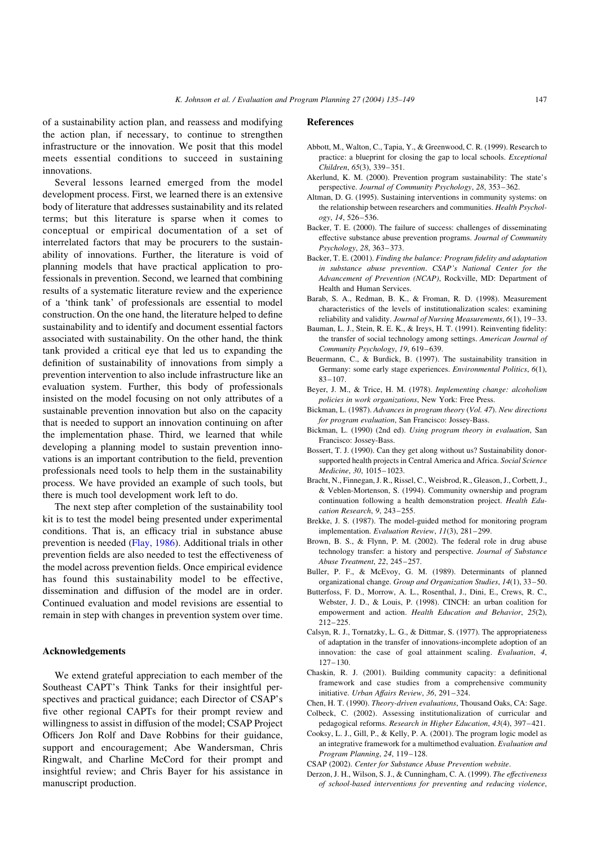<span id="page-12-0"></span>of a sustainability action plan, and reassess and modifying the action plan, if necessary, to continue to strengthen infrastructure or the innovation. We posit that this model meets essential conditions to succeed in sustaining innovations.

Several lessons learned emerged from the model development process. First, we learned there is an extensive body of literature that addresses sustainability and its related terms; but this literature is sparse when it comes to conceptual or empirical documentation of a set of interrelated factors that may be procurers to the sustainability of innovations. Further, the literature is void of planning models that have practical application to professionals in prevention. Second, we learned that combining results of a systematic literature review and the experience of a 'think tank' of professionals are essential to model construction. On the one hand, the literature helped to define sustainability and to identify and document essential factors associated with sustainability. On the other hand, the think tank provided a critical eye that led us to expanding the definition of sustainability of innovations from simply a prevention intervention to also include infrastructure like an evaluation system. Further, this body of professionals insisted on the model focusing on not only attributes of a sustainable prevention innovation but also on the capacity that is needed to support an innovation continuing on after the implementation phase. Third, we learned that while developing a planning model to sustain prevention innovations is an important contribution to the field, prevention professionals need tools to help them in the sustainability process. We have provided an example of such tools, but there is much tool development work left to do.

The next step after completion of the sustainability tool kit is to test the model being presented under experimental conditions. That is, an efficacy trial in substance abuse prevention is needed [\(Flay, 1986](#page-13-0)). Additional trials in other prevention fields are also needed to test the effectiveness of the model across prevention fields. Once empirical evidence has found this sustainability model to be effective, dissemination and diffusion of the model are in order. Continued evaluation and model revisions are essential to remain in step with changes in prevention system over time.

## Acknowledgements

We extend grateful appreciation to each member of the Southeast CAPT's Think Tanks for their insightful perspectives and practical guidance; each Director of CSAP's five other regional CAPTs for their prompt review and willingness to assist in diffusion of the model; CSAP Project Officers Jon Rolf and Dave Robbins for their guidance, support and encouragement; Abe Wandersman, Chris Ringwalt, and Charline McCord for their prompt and insightful review; and Chris Bayer for his assistance in manuscript production.

## References

- Abbott, M., Walton, C., Tapia, Y., & Greenwood, C. R. (1999). Research to practice: a blueprint for closing the gap to local schools. Exceptional Children, 65(3), 339–351.
- Akerlund, K. M. (2000). Prevention program sustainability: The state's perspective. Journal of Community Psychology, 28, 353–362.
- Altman, D. G. (1995). Sustaining interventions in community systems: on the relationship between researchers and communities. Health Psychology, 14, 526–536.
- Backer, T. E. (2000). The failure of success: challenges of disseminating effective substance abuse prevention programs. Journal of Community Psychology, 28, 363–373.
- Backer, T. E. (2001). Finding the balance: Program fidelity and adaptation in substance abuse prevention. CSAP's National Center for the Advancement of Prevention (NCAP), Rockville, MD: Department of Health and Human Services.
- Barab, S. A., Redman, B. K., & Froman, R. D. (1998). Measurement characteristics of the levels of institutionalization scales: examining reliability and validity. Journal of Nursing Measurements, 6(1), 19–33.
- Bauman, L. J., Stein, R. E. K., & Ireys, H. T. (1991). Reinventing fidelity: the transfer of social technology among settings. American Journal of Community Psychology, 19, 619–639.
- Beuermann, C., & Burdick, B. (1997). The sustainability transition in Germany: some early stage experiences. Environmental Politics, 6(1), 83–107.
- Beyer, J. M., & Trice, H. M. (1978). Implementing change: alcoholism policies in work organizations, New York: Free Press.
- Bickman, L. (1987). Advances in program theory (Vol. 47). New directions for program evaluation, San Francisco: Jossey-Bass.
- Bickman, L. (1990) (2nd ed). Using program theory in evaluation, San Francisco: Jossey-Bass.
- Bossert, T. J. (1990). Can they get along without us? Sustainability donorsupported health projects in Central America and Africa. Social Science Medicine, 30, 1015–1023.
- Bracht, N., Finnegan, J. R., Rissel, C., Weisbrod, R., Gleason, J., Corbett, J., & Veblen-Mortenson, S. (1994). Community ownership and program continuation following a health demonstration project. Health Education Research, 9, 243–255.
- Brekke, J. S. (1987). The model-guided method for monitoring program implementation. Evaluation Review, 11(3), 281–299.
- Brown, B. S., & Flynn, P. M. (2002). The federal role in drug abuse technology transfer: a history and perspective. Journal of Substance Abuse Treatment, 22, 245–257.
- Buller, P. F., & McEvoy, G. M. (1989). Determinants of planned organizational change. Group and Organization Studies, 14(1), 33–50.
- Butterfoss, F. D., Morrow, A. L., Rosenthal, J., Dini, E., Crews, R. C., Webster, J. D., & Louis, P. (1998). CINCH: an urban coalition for empowerment and action. Health Education and Behavior, 25(2), 212–225.
- Calsyn, R. J., Tornatzky, L. G., & Dittmar, S. (1977). The appropriateness of adaptation in the transfer of innovations-incomplete adoption of an innovation: the case of goal attainment scaling. Evaluation, 4, 127–130.
- Chaskin, R. J. (2001). Building community capacity: a definitional framework and case studies from a comprehensive community initiative. Urban Affairs Review, 36, 291–324.
- Chen, H. T. (1990). Theory-driven evaluations, Thousand Oaks, CA: Sage.
- Colbeck, C. (2002). Assessing institutionalization of curricular and pedagogical reforms. Research in Higher Education, 43(4), 397–421.
- Cooksy, L. J., Gill, P., & Kelly, P. A. (2001). The program logic model as an integrative framework for a multimethod evaluation. Evaluation and Program Planning, 24, 119–128.
- CSAP (2002). Center for Substance Abuse Prevention website.
- Derzon, J. H., Wilson, S. J., & Cunningham, C. A. (1999). The effectiveness of school-based interventions for preventing and reducing violence,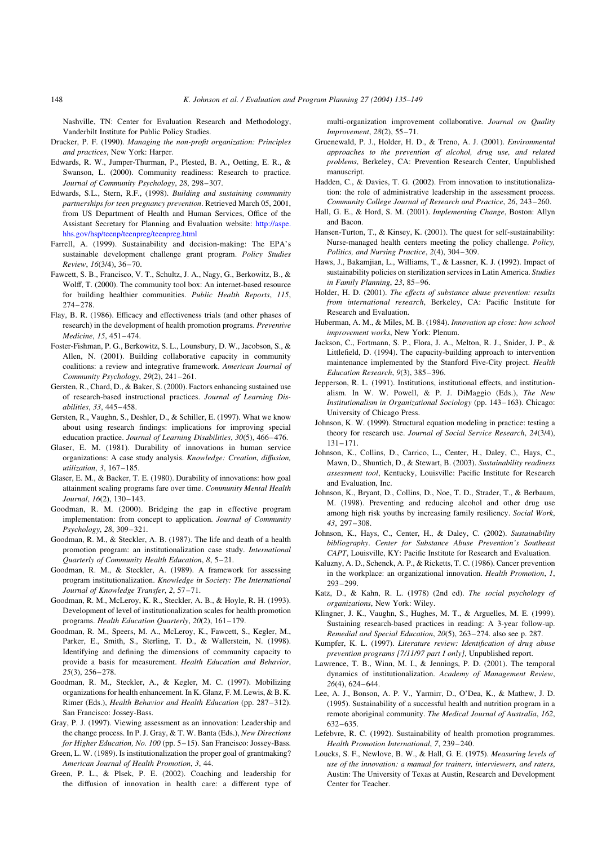Nashville, TN: Center for Evaluation Research and Methodology, Vanderbilt Institute for Public Policy Studies.

- Drucker, P. F. (1990). Managing the non-profit organization: Principles and practices, New York: Harper.
- Edwards, R. W., Jumper-Thurman, P., Plested, B. A., Oetting, E. R., & Swanson, L. (2000). Community readiness: Research to practice. Journal of Community Psychology, 28, 298–307.
- Edwards, S.L., Stern, R.F., (1998). Building and sustaining community partnerships for teen pregnancy prevention. Retrieved March 05, 2001, from US Department of Health and Human Services, Office of the Assistant Secretary for Planning and Evaluation website: [http://aspe.](http://aspe.hhs.gov/hsp/teenp/teenpreg/teenpreg.html) [hhs.gov/hsp/teenp/teenpreg/teenpreg.html](http://aspe.hhs.gov/hsp/teenp/teenpreg/teenpreg.html)
- Farrell, A. (1999). Sustainability and decision-making: The EPA's sustainable development challenge grant program. Policy Studies Review, 16(3/4), 36–70.
- Fawcett, S. B., Francisco, V. T., Schultz, J. A., Nagy, G., Berkowitz, B., & Wolff, T. (2000). The community tool box: An internet-based resource for building healthier communities. Public Health Reports, 115, 274–278.
- Flay, B. R. (1986). Efficacy and effectiveness trials (and other phases of research) in the development of health promotion programs. Preventive Medicine, 15, 451–474.
- Foster-Fishman, P. G., Berkowitz, S. L., Lounsbury, D. W., Jacobson, S., & Allen, N. (2001). Building collaborative capacity in community coalitions: a review and integrative framework. American Journal of Community Psychology, 29(2), 241–261.
- Gersten, R., Chard, D., & Baker, S. (2000). Factors enhancing sustained use of research-based instructional practices. Journal of Learning Disabilities, 33, 445–458.
- Gersten, R., Vaughn, S., Deshler, D., & Schiller, E. (1997). What we know about using research findings: implications for improving special education practice. Journal of Learning Disabilities, 30(5), 466–476.
- Glaser, E. M. (1981). Durability of innovations in human service organizations: A case study analysis. Knowledge: Creation, diffusion, utilization, 3, 167–185.
- Glaser, E. M., & Backer, T. E. (1980). Durability of innovations: how goal attainment scaling programs fare over time. Community Mental Health Journal, 16(2), 130–143.
- Goodman, R. M. (2000). Bridging the gap in effective program implementation: from concept to application. Journal of Community Psychology, 28, 309–321.
- Goodman, R. M., & Steckler, A. B. (1987). The life and death of a health promotion program: an institutionalization case study. International Quarterly of Community Health Education, 8, 5–21.
- Goodman, R. M., & Steckler, A. (1989). A framework for assessing program institutionalization. Knowledge in Society: The International Journal of Knowledge Transfer, 2, 57–71.
- Goodman, R. M., McLeroy, K. R., Steckler, A. B., & Hoyle, R. H. (1993). Development of level of institutionalization scales for health promotion programs. Health Education Quarterly, 20(2), 161–179.
- Goodman, R. M., Speers, M. A., McLeroy, K., Fawcett, S., Kegler, M., Parker, E., Smith, S., Sterling, T. D., & Wallerstein, N. (1998). Identifying and defining the dimensions of community capacity to provide a basis for measurement. Health Education and Behavior, 25(3), 256–278.
- Goodman, R. M., Steckler, A., & Kegler, M. C. (1997). Mobilizing organizations for health enhancement. In K. Glanz, F. M. Lewis, & B. K. Rimer (Eds.), Health Behavior and Health Education (pp. 287–312). San Francisco: Jossey-Bass.
- Gray, P. J. (1997). Viewing assessment as an innovation: Leadership and the change process. In P. J. Gray, & T. W. Banta (Eds.), New Directions for Higher Education, No. 100 (pp. 5–15). San Francisco: Jossey-Bass.
- Green, L. W. (1989). Is institutionalization the proper goal of grantmaking? American Journal of Health Promotion, 3, 44.
- Green, P. L., & Plsek, P. E. (2002). Coaching and leadership for the diffusion of innovation in health care: a different type of

multi-organization improvement collaborative. Journal on Quality Improvement, 28(2), 55–71.

- Gruenewald, P. J., Holder, H. D., & Treno, A. J. (2001). Environmental approaches to the prevention of alcohol, drug use, and related problems, Berkeley, CA: Prevention Research Center, Unpublished manuscript.
- Hadden, C., & Davies, T. G. (2002). From innovation to institutionalization: the role of administrative leadership in the assessment process. Community College Journal of Research and Practice, 26, 243–260.
- Hall, G. E., & Hord, S. M. (2001). Implementing Change, Boston: Allyn and Bacon.
- Hansen-Turton, T., & Kinsey, K. (2001). The quest for self-sustainability: Nurse-managed health centers meeting the policy challenge. Policy, Politics, and Nursing Practice, 2(4), 304–309.
- Haws, J., Bakamjian, L., Williams, T., & Lassner, K. J. (1992). Impact of sustainability policies on sterilization services in Latin America. Studies in Family Planning, 23, 85–96.
- Holder, H. D. (2001). The effects of substance abuse prevention: results from international research, Berkeley, CA: Pacific Institute for Research and Evaluation.
- Huberman, A. M., & Miles, M. B. (1984). Innovation up close: how school improvement works, New York: Plenum.
- Jackson, C., Fortmann, S. P., Flora, J. A., Melton, R. J., Snider, J. P., & Littlefield, D. (1994). The capacity-building approach to intervention maintenance implemented by the Stanford Five-City project. Health Education Research, 9(3), 385–396.
- Jepperson, R. L. (1991). Institutions, institutional effects, and institutionalism. In W. W. Powell, & P. J. DiMaggio (Eds.), The New Institutionalism in Organizational Sociology (pp. 143–163). Chicago: University of Chicago Press.
- Johnson, K. W. (1999). Structural equation modeling in practice: testing a theory for research use. Journal of Social Service Research, 24(3/4), 131–171.
- Johnson, K., Collins, D., Carrico, L., Center, H., Daley, C., Hays, C., Mawn, D., Shuntich, D., & Stewart, B. (2003). Sustainability readiness assessment tool, Kentucky, Louisville: Pacific Institute for Research and Evaluation, Inc.
- Johnson, K., Bryant, D., Collins, D., Noe, T. D., Strader, T., & Berbaum, M. (1998). Preventing and reducing alcohol and other drug use among high risk youths by increasing family resiliency. Social Work, 43, 297–308.
- Johnson, K., Hays, C., Center, H., & Daley, C. (2002). Sustainability bibliography. Center for Substance Abuse Prevention's Southeast CAPT, Louisville, KY: Pacific Institute for Research and Evaluation.
- Kaluzny, A. D., Schenck, A. P., & Ricketts, T. C. (1986). Cancer prevention in the workplace: an organizational innovation. Health Promotion, 1, 293–299.
- Katz, D., & Kahn, R. L. (1978) (2nd ed). The social psychology of organizations, New York: Wiley.
- Klingner, J. K., Vaughn, S., Hughes, M. T., & Arguelles, M. E. (1999). Sustaining research-based practices in reading: A 3-year follow-up. Remedial and Special Education, 20(5), 263–274. also see p. 287.
- Kumpfer, K. L. (1997). Literature review: Identification of drug abuse prevention programs [7/11/97 part I only], Unpublished report.
- Lawrence, T. B., Winn, M. I., & Jennings, P. D. (2001). The temporal dynamics of institutionalization. Academy of Management Review, 26(4), 624–644.
- Lee, A. J., Bonson, A. P. V., Yarmirr, D., O'Dea, K., & Mathew, J. D. (1995). Sustainability of a successful health and nutrition program in a remote aboriginal community. The Medical Journal of Australia, 162, 632–635.
- Lefebvre, R. C. (1992). Sustainability of health promotion programmes. Health Promotion International, 7, 239–240.
- Loucks, S. F., Newlove, B. W., & Hall, G. E. (1975). Measuring levels of use of the innovation: a manual for trainers, interviewers, and raters, Austin: The University of Texas at Austin, Research and Development Center for Teacher.

<span id="page-13-0"></span>